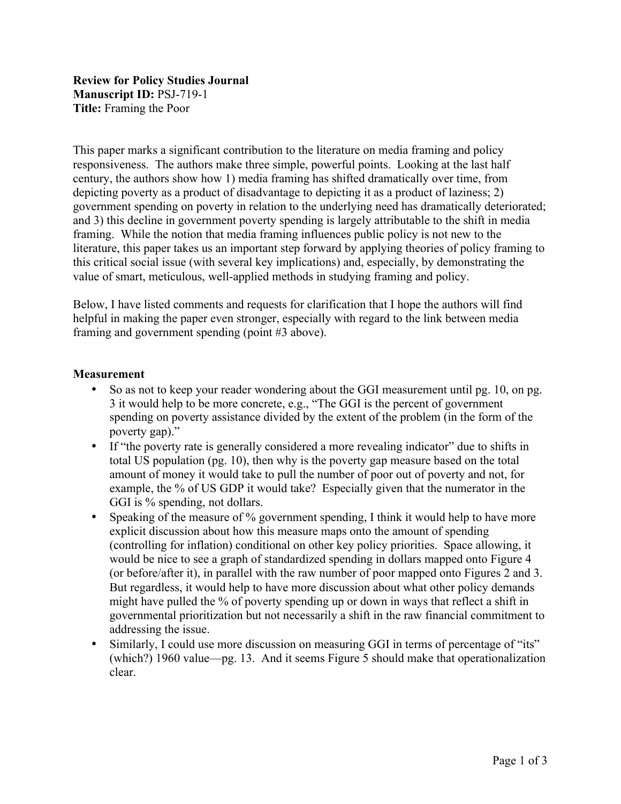# **Review for Policy Studies Journal Manuscript ID:** PSJ-719-1 **Title:** Framing the Poor

This paper marks a significant contribution to the literature on media framing and policy responsiveness. The authors make three simple, powerful points. Looking at the last half century, the authors show how 1) media framing has shifted dramatically over time, from depicting poverty as a product of disadvantage to depicting it as a product of laziness; 2) government spending on poverty in relation to the underlying need has dramatically deteriorated; and 3) this decline in government poverty spending is largely attributable to the shift in media framing. While the notion that media framing influences public policy is not new to the literature, this paper takes us an important step forward by applying theories of policy framing to this critical social issue (with several key implications) and, especially, by demonstrating the value of smart, meticulous, well-applied methods in studying framing and policy.

Below, I have listed comments and requests for clarification that I hope the authors will find helpful in making the paper even stronger, especially with regard to the link between media framing and government spending (point #3 above).

## **Measurement**

- So as not to keep your reader wondering about the GGI measurement until pg. 10, on pg. 3 it would help to be more concrete, e.g., "The GGI is the percent of government spending on poverty assistance divided by the extent of the problem (in the form of the poverty gap)."
- If "the poverty rate is generally considered a more revealing indicator" due to shifts in total US population (pg. 10), then why is the poverty gap measure based on the total amount of money it would take to pull the number of poor out of poverty and not, for example, the % of US GDP it would take? Especially given that the numerator in the GGI is % spending, not dollars.
- Speaking of the measure of % government spending, I think it would help to have more explicit discussion about how this measure maps onto the amount of spending (controlling for inflation) conditional on other key policy priorities. Space allowing, it would be nice to see a graph of standardized spending in dollars mapped onto Figure 4 (or before/after it), in parallel with the raw number of poor mapped onto Figures 2 and 3. But regardless, it would help to have more discussion about what other policy demands might have pulled the % of poverty spending up or down in ways that reflect a shift in governmental prioritization but not necessarily a shift in the raw financial commitment to addressing the issue.
- Similarly, I could use more discussion on measuring GGI in terms of percentage of "its" (which?) 1960 value—pg. 13. And it seems Figure 5 should make that operationalization clear.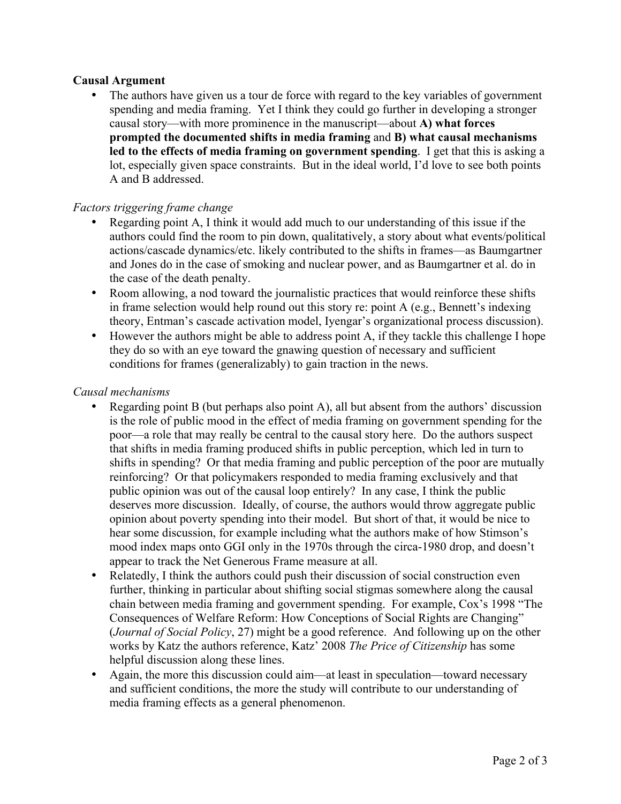# **Causal Argument**

The authors have given us a tour de force with regard to the key variables of government spending and media framing. Yet I think they could go further in developing a stronger causal story—with more prominence in the manuscript—about **A) what forces prompted the documented shifts in media framing** and **B) what causal mechanisms led to the effects of media framing on government spending**. I get that this is asking a lot, especially given space constraints. But in the ideal world, I'd love to see both points A and B addressed.

## *Factors triggering frame change*

- Regarding point A, I think it would add much to our understanding of this issue if the authors could find the room to pin down, qualitatively, a story about what events/political actions/cascade dynamics/etc. likely contributed to the shifts in frames—as Baumgartner and Jones do in the case of smoking and nuclear power, and as Baumgartner et al. do in the case of the death penalty.
- Room allowing, a nod toward the journalistic practices that would reinforce these shifts in frame selection would help round out this story re: point A (e.g., Bennett's indexing theory, Entman's cascade activation model, Iyengar's organizational process discussion).
- However the authors might be able to address point A, if they tackle this challenge I hope they do so with an eye toward the gnawing question of necessary and sufficient conditions for frames (generalizably) to gain traction in the news.

#### *Causal mechanisms*

- Regarding point B (but perhaps also point A), all but absent from the authors' discussion is the role of public mood in the effect of media framing on government spending for the poor—a role that may really be central to the causal story here. Do the authors suspect that shifts in media framing produced shifts in public perception, which led in turn to shifts in spending? Or that media framing and public perception of the poor are mutually reinforcing? Or that policymakers responded to media framing exclusively and that public opinion was out of the causal loop entirely? In any case, I think the public deserves more discussion. Ideally, of course, the authors would throw aggregate public opinion about poverty spending into their model. But short of that, it would be nice to hear some discussion, for example including what the authors make of how Stimson's mood index maps onto GGI only in the 1970s through the circa-1980 drop, and doesn't appear to track the Net Generous Frame measure at all.
- Relatedly, I think the authors could push their discussion of social construction even further, thinking in particular about shifting social stigmas somewhere along the causal chain between media framing and government spending. For example, Cox's 1998 "The Consequences of Welfare Reform: How Conceptions of Social Rights are Changing" (*Journal of Social Policy*, 27) might be a good reference. And following up on the other works by Katz the authors reference, Katz' 2008 *The Price of Citizenship* has some helpful discussion along these lines.
- Again, the more this discussion could aim—at least in speculation—toward necessary and sufficient conditions, the more the study will contribute to our understanding of media framing effects as a general phenomenon.